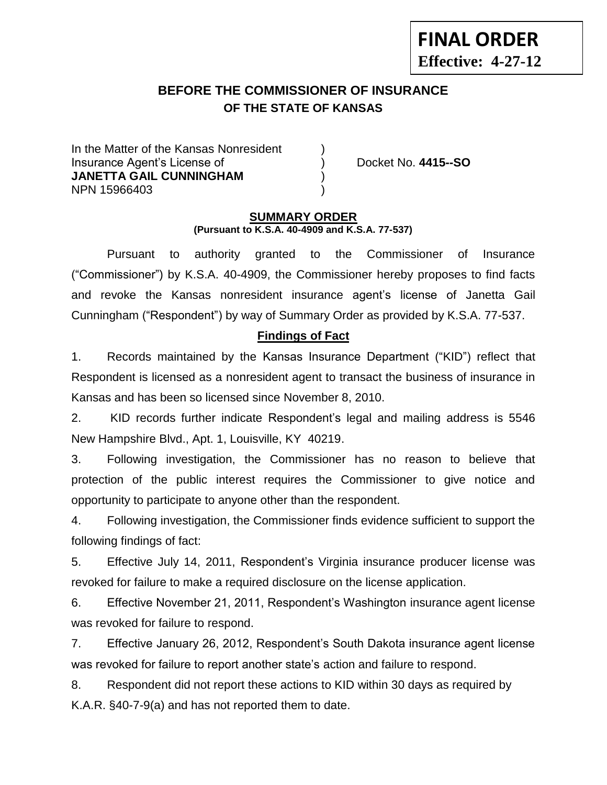# **BEFORE THE COMMISSIONER OF INSURANCE OF THE STATE OF KANSAS --12**

In the Matter of the Kansas Nonresident Insurance Agent's License of ) Docket No. **4415--SO JANETTA GAIL CUNNINGHAM** ) NPN 15966403 )

**FINAL ORDER**

**Effective: 4-27-12**

### **SUMMARY ORDER (Pursuant to K.S.A. 40-4909 and K.S.A. 77-537)**

Pursuant to authority granted to the Commissioner of Insurance ("Commissioner") by K.S.A. 40-4909, the Commissioner hereby proposes to find facts and revoke the Kansas nonresident insurance agent's license of Janetta Gail Cunningham ("Respondent") by way of Summary Order as provided by K.S.A. 77-537.

# **Findings of Fact**

1. Records maintained by the Kansas Insurance Department ("KID") reflect that Respondent is licensed as a nonresident agent to transact the business of insurance in Kansas and has been so licensed since November 8, 2010.

2. KID records further indicate Respondent's legal and mailing address is 5546 New Hampshire Blvd., Apt. 1, Louisville, KY 40219.

3. Following investigation, the Commissioner has no reason to believe that protection of the public interest requires the Commissioner to give notice and opportunity to participate to anyone other than the respondent.

4. Following investigation, the Commissioner finds evidence sufficient to support the following findings of fact:

5. Effective July 14, 2011, Respondent's Virginia insurance producer license was revoked for failure to make a required disclosure on the license application.

6. Effective November 21, 2011, Respondent's Washington insurance agent license was revoked for failure to respond.

7. Effective January 26, 2012, Respondent's South Dakota insurance agent license was revoked for failure to report another state's action and failure to respond.

8. Respondent did not report these actions to KID within 30 days as required by K.A.R. §40-7-9(a) and has not reported them to date.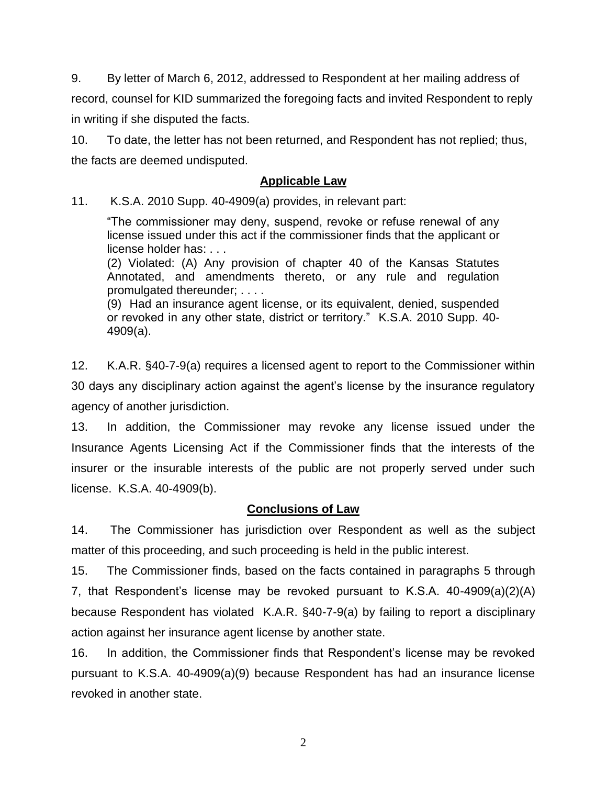9. By letter of March 6, 2012, addressed to Respondent at her mailing address of record, counsel for KID summarized the foregoing facts and invited Respondent to reply in writing if she disputed the facts.

10. To date, the letter has not been returned, and Respondent has not replied; thus, the facts are deemed undisputed.

### **Applicable Law**

11. K.S.A. 2010 Supp. 40-4909(a) provides, in relevant part:

"The commissioner may deny, suspend, revoke or refuse renewal of any license issued under this act if the commissioner finds that the applicant or license holder has: . . .

(2) Violated: (A) Any provision of chapter 40 of the Kansas Statutes Annotated, and amendments thereto, or any rule and regulation promulgated thereunder; . . . .

(9) Had an insurance agent license, or its equivalent, denied, suspended or revoked in any other state, district or territory." K.S.A. 2010 Supp. 40- 4909(a).

12. K.A.R. §40-7-9(a) requires a licensed agent to report to the Commissioner within 30 days any disciplinary action against the agent's license by the insurance regulatory agency of another jurisdiction.

13. In addition, the Commissioner may revoke any license issued under the Insurance Agents Licensing Act if the Commissioner finds that the interests of the insurer or the insurable interests of the public are not properly served under such license. K.S.A. 40-4909(b).

## **Conclusions of Law**

14. The Commissioner has jurisdiction over Respondent as well as the subject matter of this proceeding, and such proceeding is held in the public interest.

15. The Commissioner finds, based on the facts contained in paragraphs 5 through 7, that Respondent's license may be revoked pursuant to K.S.A. 40-4909(a)(2)(A) because Respondent has violated K.A.R. §40-7-9(a) by failing to report a disciplinary action against her insurance agent license by another state.

16. In addition, the Commissioner finds that Respondent's license may be revoked pursuant to K.S.A. 40-4909(a)(9) because Respondent has had an insurance license revoked in another state.

2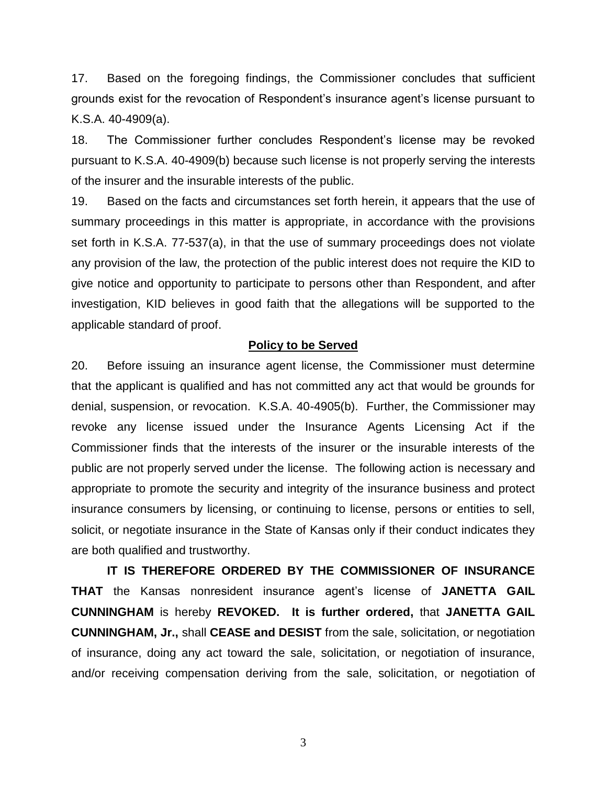17. Based on the foregoing findings, the Commissioner concludes that sufficient grounds exist for the revocation of Respondent's insurance agent's license pursuant to K.S.A. 40-4909(a).

18. The Commissioner further concludes Respondent's license may be revoked pursuant to K.S.A. 40-4909(b) because such license is not properly serving the interests of the insurer and the insurable interests of the public.

19. Based on the facts and circumstances set forth herein, it appears that the use of summary proceedings in this matter is appropriate, in accordance with the provisions set forth in K.S.A. 77-537(a), in that the use of summary proceedings does not violate any provision of the law, the protection of the public interest does not require the KID to give notice and opportunity to participate to persons other than Respondent, and after investigation, KID believes in good faith that the allegations will be supported to the applicable standard of proof.

#### **Policy to be Served**

20. Before issuing an insurance agent license, the Commissioner must determine that the applicant is qualified and has not committed any act that would be grounds for denial, suspension, or revocation. K.S.A. 40-4905(b). Further, the Commissioner may revoke any license issued under the Insurance Agents Licensing Act if the Commissioner finds that the interests of the insurer or the insurable interests of the public are not properly served under the license. The following action is necessary and appropriate to promote the security and integrity of the insurance business and protect insurance consumers by licensing, or continuing to license, persons or entities to sell, solicit, or negotiate insurance in the State of Kansas only if their conduct indicates they are both qualified and trustworthy.

**IT IS THEREFORE ORDERED BY THE COMMISSIONER OF INSURANCE THAT** the Kansas nonresident insurance agent's license of **JANETTA GAIL CUNNINGHAM** is hereby **REVOKED. It is further ordered,** that **JANETTA GAIL CUNNINGHAM, Jr.,** shall **CEASE and DESIST** from the sale, solicitation, or negotiation of insurance, doing any act toward the sale, solicitation, or negotiation of insurance, and/or receiving compensation deriving from the sale, solicitation, or negotiation of

3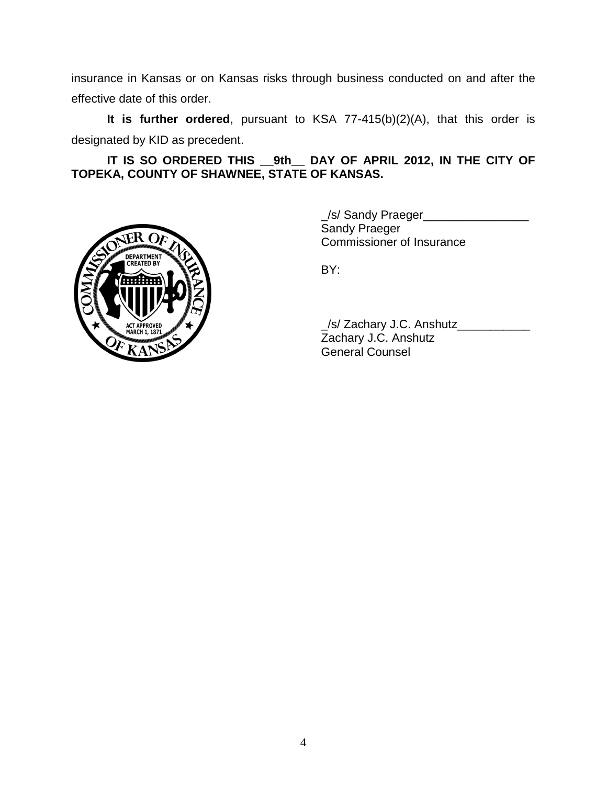insurance in Kansas or on Kansas risks through business conducted on and after the effective date of this order.

**It is further ordered**, pursuant to KSA 77-415(b)(2)(A), that this order is designated by KID as precedent.

**IT IS SO ORDERED THIS \_\_9th\_\_ DAY OF APRIL 2012, IN THE CITY OF TOPEKA, COUNTY OF SHAWNEE, STATE OF KANSAS.**



\_/s/ Sandy Praeger\_\_\_\_\_\_\_\_\_\_\_\_\_\_\_\_ Sandy Praeger Commissioner of Insurance

BY:

\_/s/ Zachary J.C. Anshutz\_\_\_\_\_\_\_\_\_\_\_ Zachary J.C. Anshutz General Counsel